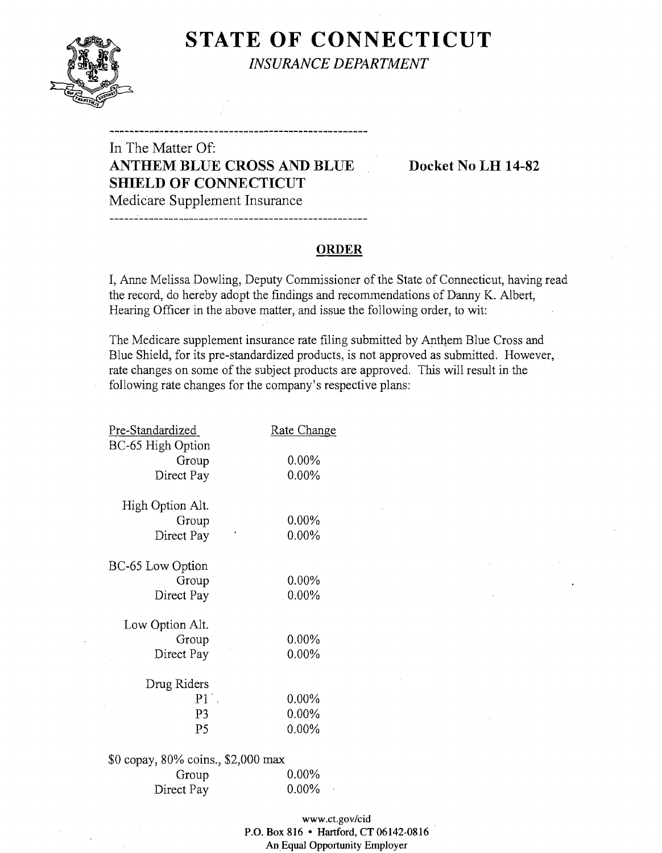

# **STATE OF CONNECTICUT** *INSURANCE DEPARTMENT*

# In The Matter Of: **ANTHEM BLUE CROSS AND BLUE Docket** No **LH 14-82 SHIELD OF CONNECTICUT**  Medicare Supplement Insurance

### **ORDER**

I, Anne Melissa Dowling, Deputy Commissioner of the State of Connecticut, having read the record, do hereby adopt the findings and recommendations of Danny K. Albert, Hearing Officer in the above matter, and issue the following order, to wit:

The Medicare supplement insurance rate filing submitted by Anthem Blue Cross and Blue Shield, for its pre-standardized products, is not approved as submitted. However, rate changes on some of the subject products are approved. This will result in the following rate changes for the company's respective plans:

| Pre-Standardized                   | Rate Change |
|------------------------------------|-------------|
| BC-65 High Option<br>Group         | $0.00\%$    |
| Direct Pay                         | $0.00\%$    |
| High Option Alt.                   |             |
| Group                              | $0.00\%$    |
| Direct Pay                         | $0.00\%$    |
| BC-65 Low Option                   |             |
| Group                              | 0.00%       |
| Direct Pay                         | 0.00%       |
| Low Option Alt.                    |             |
| Group                              | $0.00\%$    |
| Direct Pay                         | 0.00%       |
| Drug Riders                        |             |
| $P1^{\degree}$                     | $0.00\%$    |
| P3                                 | $0.00\%$    |
| P5                                 | $0.00\%$    |
| \$0 copay, 80% coins., \$2,000 max |             |
| Group                              | $0.00\%$    |

Direct Pay 0.00%

| www.ct.gov/cid                         |
|----------------------------------------|
| P.O. Box 816 • Hartford, CT 06142-0816 |
| An Equal Opportunity Employer          |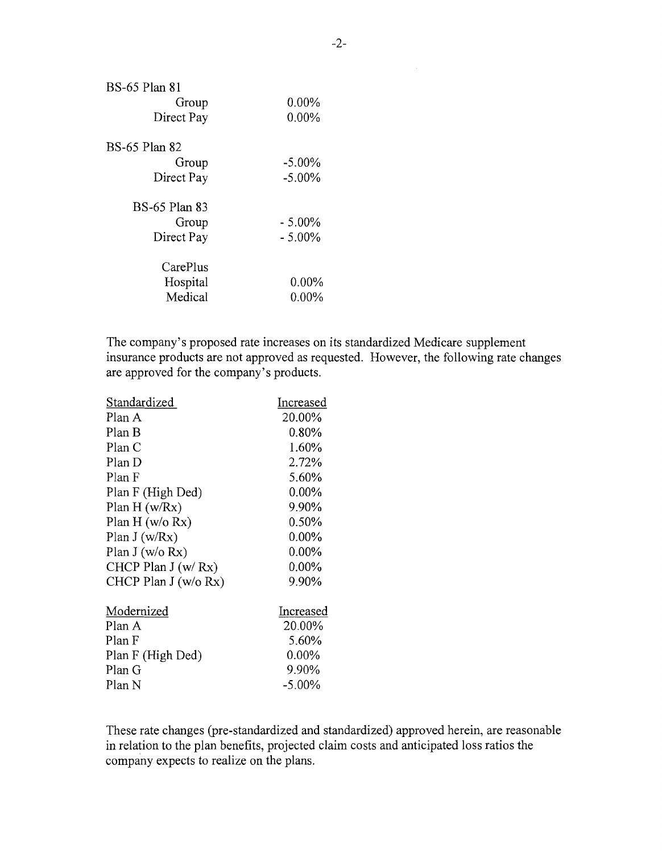| <b>BS-65 Plan 81</b> |           |
|----------------------|-----------|
| Group                | $0.00\%$  |
| Direct Pay           | $0.00\%$  |
| <b>BS-65 Plan 82</b> |           |
| Group                | $-5.00\%$ |
| Direct Pay           | $-5.00\%$ |
| <b>BS-65 Plan 83</b> |           |
| Group                | $-5.00\%$ |
| Direct Pay           | $-5.00\%$ |
| CarePlus             |           |
| Hospital             | $0.00\%$  |
| Medical              | $0.00\%$  |
|                      |           |

The company's proposed rate increases on its standardized Medicare supplement insurance products are not approved as requested. However, the following rate changes are approved for the company's products.

| Increased |
|-----------|
| 20.00%    |
| $0.80\%$  |
| 1.60%     |
| 2.72%     |
| 5.60%     |
| $0.00\%$  |
| 9.90%     |
| $0.50\%$  |
| $0.00\%$  |
| $0.00\%$  |
| $0.00\%$  |
| 9.90%     |
| Increased |
| 20.00%    |
| 5.60%     |
| $0.00\%$  |
| 9.90%     |
| $-5.00\%$ |
|           |

These rate changes (pre-standardized and standardized) approved herein, are reasonable in relation to the plan benefits, projected claim costs and anticipated loss ratios the company expects to realize on the plans.

 $\mathcal{A}^{\mathcal{A}}$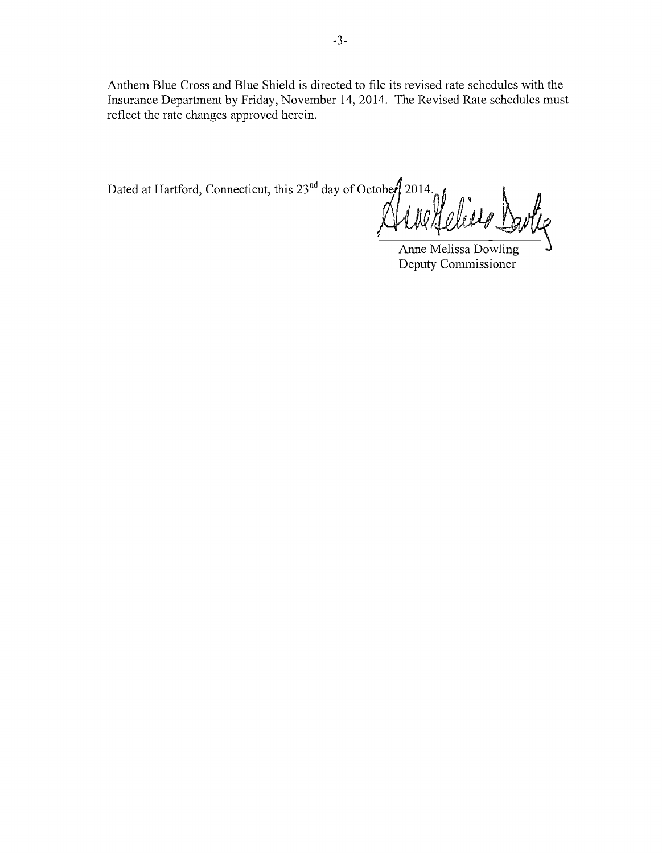**Anthem Blue Cross and Blue Shield is directed to file its revised rate schedules with the Insurance Department by Friday, November 14,2014. The Revised Rate schedules must reflect the rate changes approved herein.** 

Dated at Hartford, Connecticut, this 23<sup>nd</sup> day of October 2014.

Anne Melissa Dowling **Deputy Commissioner**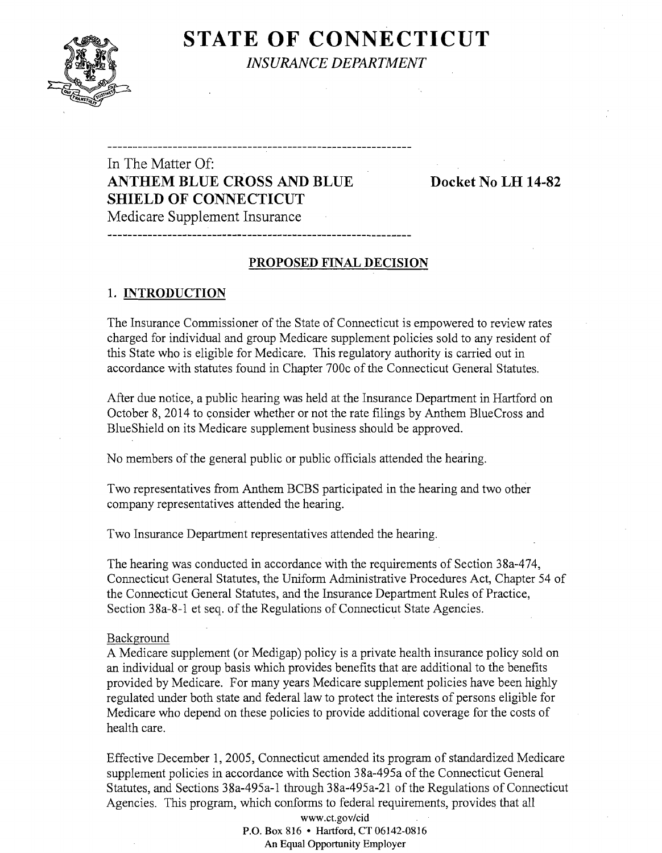

**STATE OF CONNECTICUT** *INSURANCE DEPARTMENT* 

# In The Matter Of: **ANTHEM BLUE CROSS AND BLUE Docket** No **LH 14-82 SHIELD OF CONNECTICUT**  Medicare Supplement Insurance

## **PROPOSED FINAL DECISION**

--------------------------------------

## 1. **INTRODUCTION**

The Insurance Commissioner of the State of Connecticut is empowered to review rates charged for individual and group Medicare supplement policies sold to any resident of this State who is eligible for Medicare. This regulatory authority is carried out in accordance with statutes found in Chapter 700c of the Connecticut General Statutes.

After due notice, a public hearing was held at the Insurance Department in Hartford on October 8, 2014 to consider whether or not the rate filings by Anthem BlueCross and BlueShield on its Medicare supplement business should be approved.

No members of the general public or public officials attended the hearing.

Two representatives from Anthem BCBS participated in the hearing and two other company representatives attended the hearing.

Two Insurance Department representatives attended the hearing.

The hearing was conducted in accordance with the requirements of Section 38a-474, Connecticut General Statutes, the Uniform Administrative Procedures Act, Chapter 54 of the Connecticut General Statutes, and the Insurance Department Rules of Practice, Section 38a-8-1 et seq. of the Regulations of Connecticut State Agencies.

### Background

A Medicare supplement (or Medigap) policy is a private health insurance policy sold on an individual or group basis which provides benefits that are additional to the benefits provided by Medicare. For many years Medicare supplement policies have been highly regulated under both state and federal law to protect the interests of persons eligible for Medicare who depend on these policies to provide additional coverage for the costs of health care.

Effective December 1,2005, Connecticut amended its program of standardized Medicare supplement policies in accordance with Section 38a-495a of the Connecticut General Statutes, and Sections 38a-495a-1 through 38a-495a-21 of the Regulations of Connecticut Agencies. This program, which conforms to federal requirements, provides that all

> www.ct.gov/cid P.O. Box 816 • Hartford, CT 06142-0816 An Equal Opportunity Employer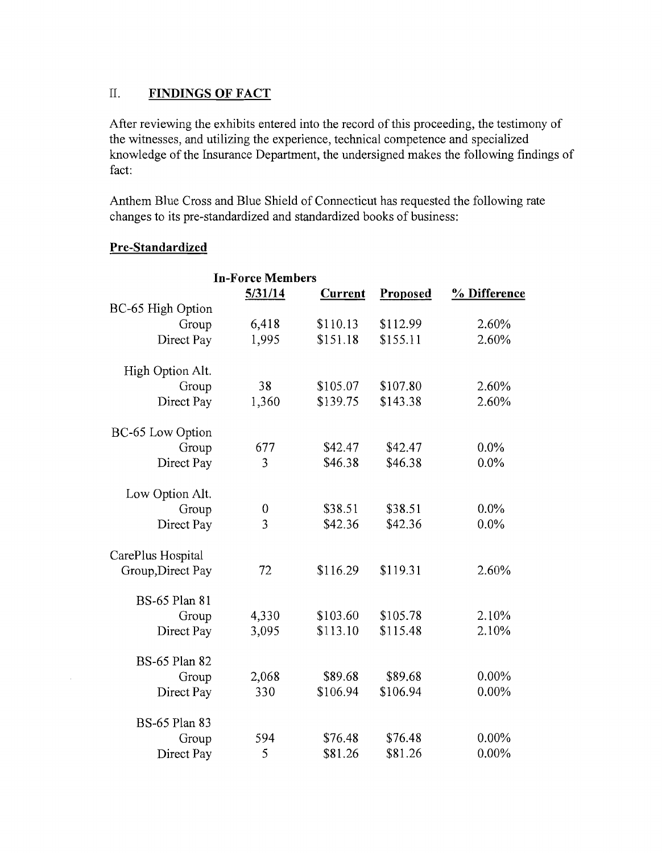## II. **FINDINGS OF FACT**

After reviewing the exhibits entered into the record of this proceeding, the testimony of the witnesses, and utilizing the experience, technical competence and specialized knowledge of the Insurance Department, the undersigned makes the following findings of fact:

Anthem Blue Cross and Blue Shield of Connecticut has requested the following rate changes to its pre-standardized and standardized books of business:

|                      | <b>In-Force Members</b> |                |          |              |
|----------------------|-------------------------|----------------|----------|--------------|
|                      | 5/31/14                 | <b>Current</b> | Proposed | % Difference |
| BC-65 High Option    |                         |                |          |              |
| Group                | 6,418                   | \$110.13       | \$112.99 | 2.60%        |
| Direct Pay           | 1,995                   | \$151.18       | \$155.11 | 2.60%        |
| High Option Alt.     |                         |                |          |              |
| Group                | 38                      | \$105.07       | \$107.80 | 2.60%        |
| Direct Pay           | 1,360                   | \$139.75       | \$143.38 | 2.60%        |
| BC-65 Low Option     |                         |                |          |              |
| Group                | 677                     | \$42.47        | \$42.47  | 0.0%         |
| Direct Pay           | 3                       | \$46.38        | \$46.38  | 0.0%         |
| Low Option Alt.      |                         |                |          |              |
| Group                | 0                       | \$38.51        | \$38.51  | $0.0\%$      |
| Direct Pay           | $\overline{3}$          | \$42.36        | \$42.36  | $0.0\%$      |
| CarePlus Hospital    |                         |                |          |              |
| Group, Direct Pay    | 72                      | \$116.29       | \$119.31 | 2.60%        |
| <b>BS-65 Plan 81</b> |                         |                |          |              |
| Group                | 4,330                   | \$103.60       | \$105.78 | 2.10%        |
| Direct Pay           | 3,095                   | \$113.10       | \$115.48 | 2.10%        |
| <b>BS-65 Plan 82</b> |                         |                |          |              |
| Group                | 2,068                   | \$89.68        | \$89.68  | 0.00%        |
| Direct Pay           | 330                     | \$106.94       | \$106.94 | 0.00%        |
| <b>BS-65 Plan 83</b> |                         |                |          |              |
| Group                | 594                     | \$76.48        | \$76.48  | 0.00%        |
| Direct Pay           | 5                       | \$81.26        | \$81.26  | 0.00%        |

## **Pre-Standardized**

 $\bar{z}$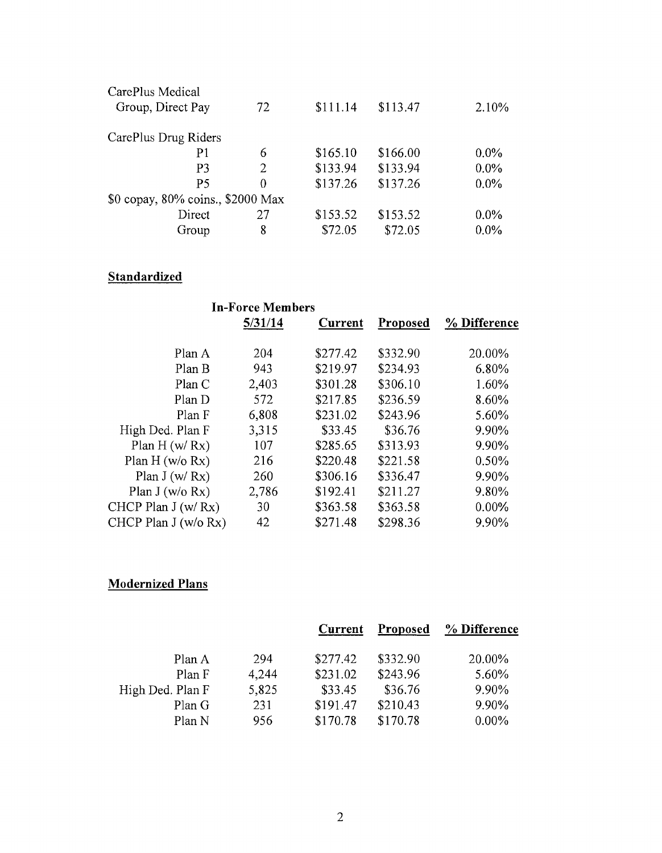| CarePlus Medical                  |    |          |          |         |
|-----------------------------------|----|----------|----------|---------|
| Group, Direct Pay                 | 72 | \$111.14 | \$113.47 | 2.10%   |
| CarePlus Drug Riders              |    |          |          |         |
| P1                                | 6  | \$165.10 | \$166.00 | $0.0\%$ |
| P3                                | 2  | \$133.94 | \$133.94 | $0.0\%$ |
| P5                                | 0  | \$137.26 | \$137.26 | $0.0\%$ |
| \$0 copay, 80% coins., \$2000 Max |    |          |          |         |
| Direct                            | 27 | \$153.52 | \$153.52 | $0.0\%$ |
| Group                             | 8  | \$72.05  | \$72.05  | $0.0\%$ |

# **Standardized**

|                      | <b>In-Force Members</b> |          |          |              |
|----------------------|-------------------------|----------|----------|--------------|
|                      | 5/31/14                 | Current  | Proposed | % Difference |
| Plan A               | 204                     | \$277.42 | \$332.90 | 20.00%       |
| Plan B               | 943                     | \$219.97 | \$234.93 | 6.80%        |
| Plan C               | 2,403                   | \$301.28 | \$306.10 | 1.60%        |
| Plan D               | 572                     | \$217.85 | \$236.59 | 8.60%        |
| Plan F               | 6,808                   | \$231.02 | \$243.96 | 5.60%        |
| High Ded. Plan F     | 3,315                   | \$33.45  | \$36.76  | 9.90%        |
| Plan $H(w/Rx)$       | 107                     | \$285.65 | \$313.93 | 9.90%        |
| Plan $H (w/o Rx)$    | 216                     | \$220.48 | \$221.58 | 0.50%        |
| Plan $J(w/Rx)$       | 260                     | \$306.16 | \$336.47 | 9.90%        |
| Plan J (w/o Rx)      | 2,786                   | \$192.41 | \$211.27 | 9.80%        |
| CHCP Plan $J(w/Rx)$  | 30                      | \$363.58 | \$363.58 | 0.00%        |
| CHCP Plan J (w/o Rx) | 42                      | \$271.48 | \$298.36 | 9.90%        |

# **Modernized Plans**

|                  |       | Current  | Proposed | % Difference |
|------------------|-------|----------|----------|--------------|
| Plan A           | 294   | \$277.42 | \$332.90 | 20.00%       |
| Plan F           | 4,244 | \$231.02 | \$243.96 | 5.60%        |
| High Ded. Plan F | 5,825 | \$33.45  | \$36.76  | 9.90%        |
| Plan G           | 231   | \$191.47 | \$210.43 | 9.90%        |
| Plan N           | 956   | \$170.78 | \$170.78 | $0.00\%$     |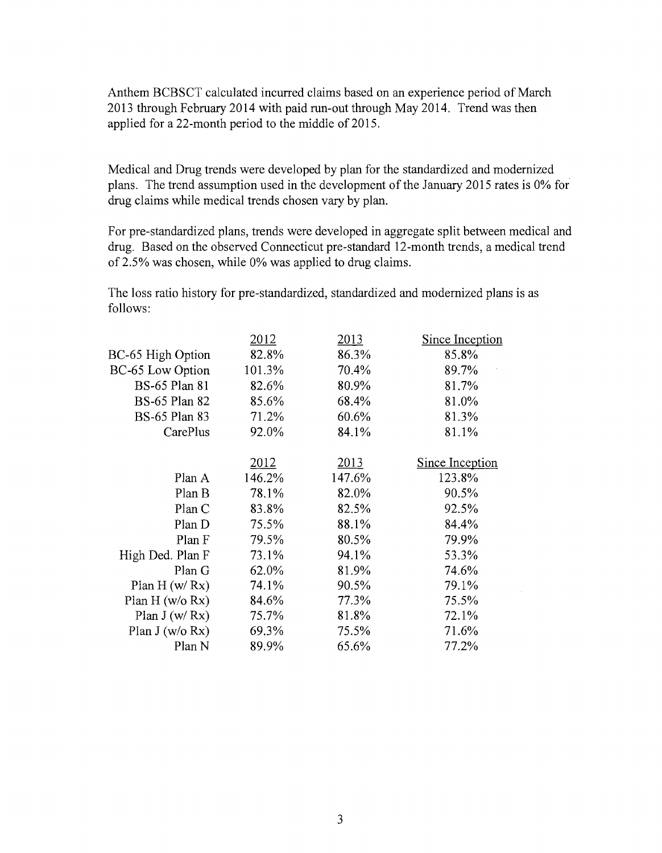Anthem BCBSCT calculated incurred claims based on an experience period of March 2013 through February 2014 with paid run-out through May 2014. Trend was then applied for a 22-month period to the middle of 2015.

Medical and Drug trends were developed by plan for the standardized and modernized plans. The trend assumption used in the development of the January 2015 rates is 0% for drug claims while medical trends chosen vary by plan.

For pre-standardized plans, trends were developed in aggregate split between medical and drug. Based on the observed Connecticut pre-standard 12-month trends, a medical trend of 2.5% was chosen, while 0% was applied to drug claims.

The loss ratio history for pre-standardized, standardized and modernized plans is as follows:

| <u> 2012 </u> | 2013        | <b>Since Inception</b> |
|---------------|-------------|------------------------|
| 82.8%         | 86.3%       | 85.8%                  |
| 101.3%        | 70.4%       | 89.7%                  |
| 82.6%         | 80.9%       | 81.7%                  |
| 85.6%         | 68.4%       | 81.0%                  |
| 71.2%         | 60.6%       | 81.3%                  |
| 92.0%         | 84.1%       | 81.1%                  |
|               |             | <b>Since Inception</b> |
| 146.2%        | 147.6%      | 123.8%                 |
| 78.1%         | 82.0%       | 90.5%                  |
| 83.8%         | 82.5%       | 92.5%                  |
| 75.5%         | 88.1%       | 84.4%                  |
| 79.5%         | 80.5%       | 79.9%                  |
| 73.1%         | 94.1%       | 53.3%                  |
| 62.0%         | 81.9%       | 74.6%                  |
| 74.1%         | 90.5%       | 79.1%                  |
| 84.6%         | 77.3%       | 75.5%                  |
| 75.7%         | 81.8%       | 72.1%                  |
| 69.3%         | 75.5%       | 71.6%                  |
| 89.9%         | 65.6%       | 77.2%                  |
|               | <u>2012</u> | 2013                   |

 $\mathcal{L}$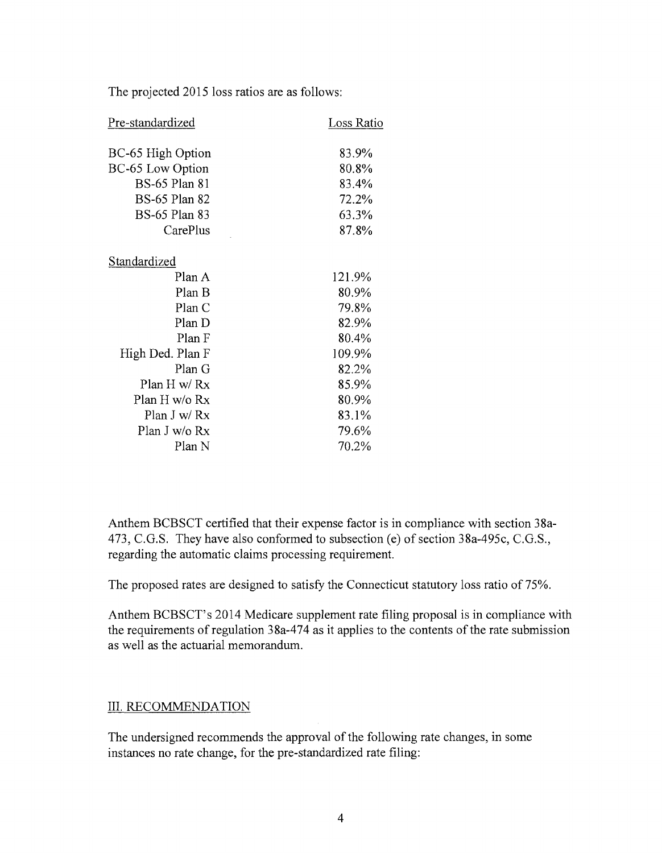The projected 2015 loss ratios are as follows:

| Pre-standardized     | Loss Ratio |
|----------------------|------------|
| BC-65 High Option    | 83.9%      |
| BC-65 Low Option     | 80.8%      |
| <b>BS-65 Plan 81</b> | 83.4%      |
| <b>BS-65 Plan 82</b> | 72.2%      |
| <b>BS-65 Plan 83</b> | 63.3%      |
| CarePlus             | 87.8%      |
| Standardized         |            |
| Plan A               | 121.9%     |
| Plan B               | 80.9%      |
| Plan C               | 79.8%      |
| Plan D               | 82.9%      |
| Plan F               | 80.4%      |
| High Ded. Plan F     | 109.9%     |
| Plan G               | 82.2%      |
| Plan H w/ Rx         | 85.9%      |
| Plan H w/o Rx        | 80.9%      |
| Plan J w/ Rx         | 83.1%      |
| Plan J w/o Rx        | 79.6%      |
| Plan N               | 70.2%      |

Anthem BCBSCT certified that their expense factor is in compliance with section 38a-473, C.G.S. They have also conformed to subsection (e) of section 38a-495c, C.G.S., regarding the automatic claims processing requirement.

The proposed rates are designed to satisfy the Connecticut statutory loss ratio of 75%.

Anthem BCBSCT's 2014 Medicare supplement rate filing proposal is in compliance with the requirements of regulation 38a-474 as it applies to the contents of the rate submission as well as the actuarial memorandum.

## III. RECOMMENDATION

The undersigned recommends the approval of the following rate changes, in some instances no rate change, for the pre-standardized rate filing: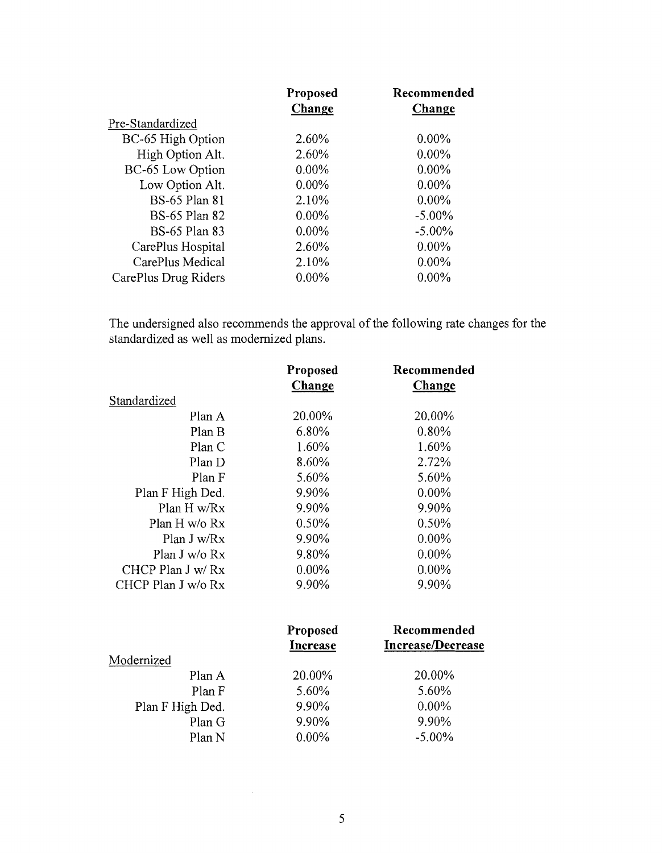| Proposed | Recommended |
|----------|-------------|
| Change   | Change      |
|          |             |
| 2.60%    | $0.00\%$    |
| 2.60%    | $0.00\%$    |
| $0.00\%$ | $0.00\%$    |
| $0.00\%$ | $0.00\%$    |
| 2.10%    | $0.00\%$    |
| $0.00\%$ | $-5.00\%$   |
| $0.00\%$ | $-5.00\%$   |
| 2.60%    | $0.00\%$    |
| 2.10%    | $0.00\%$    |
| $0.00\%$ | $0.00\%$    |
|          |             |

The undersigned also recommends the approval of the following rate changes for the standardized as well as modernized plans.

|                    | Proposed | Recommended |
|--------------------|----------|-------------|
|                    | Change   | Change      |
| Standardized       |          |             |
| Plan A             | 20.00%   | 20.00%      |
| Plan B             | 6.80%    | 0.80%       |
| Plan C             | 1.60%    | 1.60%       |
| Plan D             | 8.60%    | 2.72%       |
| Plan F             | 5.60%    | 5.60%       |
| Plan F High Ded.   | 9.90%    | $0.00\%$    |
| Plan H w/Rx        | 9.90%    | 9.90%       |
| Plan H $w$ /o Rx   | 0.50%    | 0.50%       |
| Plan J w/Rx        | 9.90%    | $0.00\%$    |
| Plan J w/o $Rx$    | 9.80%    | $0.00\%$    |
| CHCP Plan $J w/Rx$ | $0.00\%$ | $0.00\%$    |
| CHCP Plan J w/o Rx | 9.90%    | 9.90%       |

|                  | Proposed<br>Increase | Recommended<br>Increase/Decrease |
|------------------|----------------------|----------------------------------|
| Modernized       |                      |                                  |
| Plan A           | 20.00%               | 20.00%                           |
| Plan F           | 5.60%                | 5.60%                            |
| Plan F High Ded. | 9.90%                | $0.00\%$                         |
| Plan G           | 9.90%                | 9.90%                            |
| Plan N           | $0.00\%$             | $-5.00\%$                        |